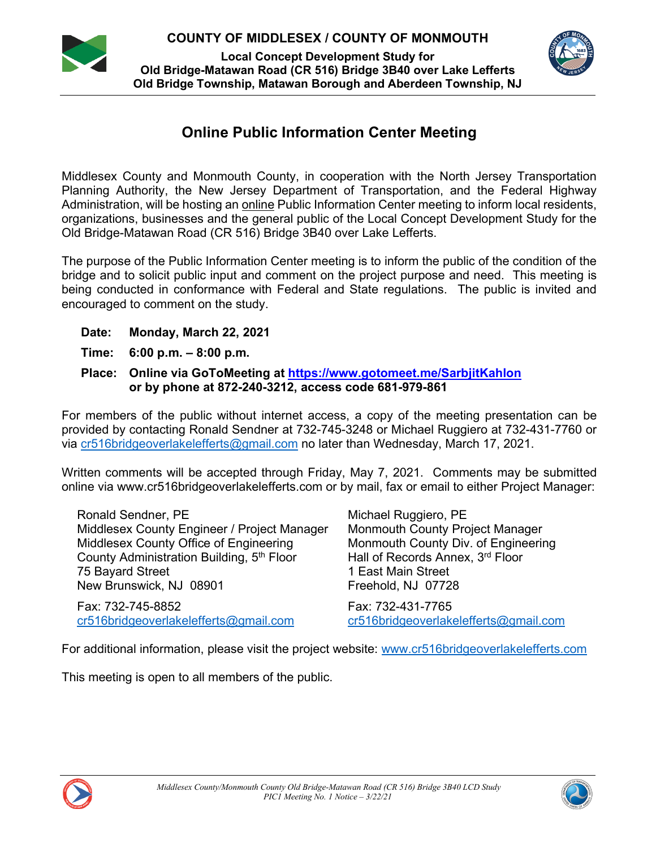**COUNTY OF MIDDLESEX / COUNTY OF MONMOUTH**



**Local Concept Development Study for Old Bridge-Matawan Road (CR 516) Bridge 3B40 over Lake Lefferts Old Bridge Township, Matawan Borough and Aberdeen Township, NJ**



# **Online Public Information Center Meeting**

Middlesex County and Monmouth County, in cooperation with the North Jersey Transportation Planning Authority, the New Jersey Department of Transportation, and the Federal Highway Administration, will be hosting an online Public Information Center meeting to inform local residents, organizations, businesses and the general public of the Local Concept Development Study for the Old Bridge-Matawan Road (CR 516) Bridge 3B40 over Lake Lefferts.

The purpose of the Public Information Center meeting is to inform the public of the condition of the bridge and to solicit public input and comment on the project purpose and need. This meeting is being conducted in conformance with Federal and State regulations. The public is invited and encouraged to comment on the study.

- **Date: Monday, March 22, 2021**
- **Time: 6:00 p.m. – 8:00 p.m.**
- **Place: Online via GoToMeeting at https://www.gotomeet.me/SarbjitKahlon or by phone at 872-240-3212, access code 681-979-861**

For members of the public without internet access, a copy of the meeting presentation can be provided by contacting Ronald Sendner at 732-745-3248 or Michael Ruggiero at 732-431-7760 or via cr516bridgeoverlakelefferts@gmail.com no later than Wednesday, March 17, 2021.

Written comments will be accepted through Friday, May 7, 2021. Comments may be submitted online via www.cr516bridgeoverlakelefferts.com or by mail, fax or email to either Project Manager:

Ronald Sendner, PE Middlesex County Engineer / Project Manager Middlesex County Office of Engineering County Administration Building, 5th Floor 75 Bayard Street New Brunswick, NJ 08901

Fax: 732-745-8852 cr516bridgeoverlakelefferts@gmail.com Michael Ruggiero, PE Monmouth County Project Manager Monmouth County Div. of Engineering Hall of Records Annex, 3rd Floor 1 East Main Street Freehold, NJ 07728

Fax: 732-431-7765 cr516bridgeoverlakelefferts@gmail.com

For additional information, please visit the project website: www.cr516bridgeoverlakelefferts.com

This meeting is open to all members of the public.



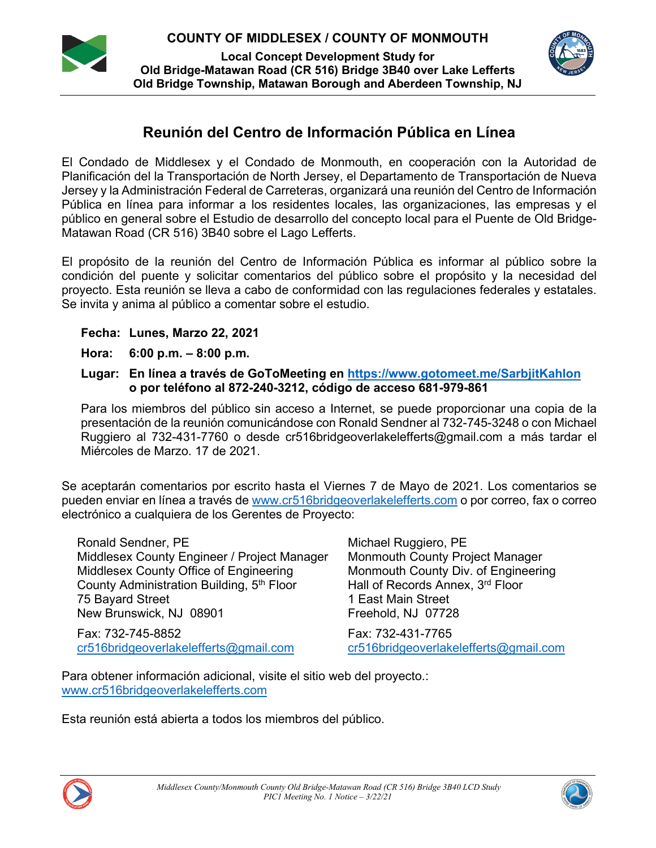**COUNTY OF MIDDLESEX / COUNTY OF MONMOUTH**



**Local Concept Development Study for Old Bridge-Matawan Road (CR 516) Bridge 3B40 over Lake Lefferts Old Bridge Township, Matawan Borough and Aberdeen Township, NJ**



# **Reunión del Centro de Información Pública en Línea**

El Condado de Middlesex y el Condado de Monmouth, en cooperación con la Autoridad de Planificación del la Transportación de North Jersey, el Departamento de Transportación de Nueva Jersey y la Administración Federal de Carreteras, organizará una reunión del Centro de Información Pública en línea para informar a los residentes locales, las organizaciones, las empresas y el público en general sobre el Estudio de desarrollo del concepto local para el Puente de Old Bridge-Matawan Road (CR 516) 3B40 sobre el Lago Lefferts.

El propósito de la reunión del Centro de Información Pública es informar al público sobre la condición del puente y solicitar comentarios del público sobre el propósito y la necesidad del proyecto. Esta reunión se lleva a cabo de conformidad con las regulaciones federales y estatales. Se invita y anima al público a comentar sobre el estudio.

### **Fecha: Lunes, Marzo 22, 2021**

- **Hora: 6:00 p.m. – 8:00 p.m.**
- **Lugar: En línea a través de GoToMeeting en https://www.gotomeet.me/SarbjitKahlon o por teléfono al 872-240-3212, código de acceso 681-979-861**

Para los miembros del público sin acceso a Internet, se puede proporcionar una copia de la presentación de la reunión comunicándose con Ronald Sendner al 732-745-3248 o con Michael Ruggiero al 732-431-7760 o desde cr516bridgeoverlakelefferts@gmail.com a más tardar el Miércoles de Marzo. 17 de 2021.

Se aceptarán comentarios por escrito hasta el Viernes 7 de Mayo de 2021. Los comentarios se pueden enviar en línea a través de www.cr516bridgeoverlakelefferts.com o por correo, fax o correo electrónico a cualquiera de los Gerentes de Proyecto:

| Ronald Sendner, PE                                    | Michael Ruggiero, PE                  |
|-------------------------------------------------------|---------------------------------------|
| Middlesex County Engineer / Project Manager           | Monmouth County Project Manager       |
| Middlesex County Office of Engineering                | Monmouth County Div. of Engineering   |
| County Administration Building, 5 <sup>th</sup> Floor | Hall of Records Annex, 3rd Floor      |
| 75 Bayard Street                                      | 1 East Main Street                    |
| New Brunswick, NJ 08901                               | Freehold, NJ 07728                    |
| Fax: 732-745-8852                                     | Fax: 732-431-7765                     |
| cr516bridgeoverlakelefferts@gmail.com                 | cr516bridgeoverlakelefferts@gmail.com |

Para obtener información adicional, visite el sitio web del proyecto.: www.cr516bridgeoverlakelefferts.com

Esta reunión está abierta a todos los miembros del público.



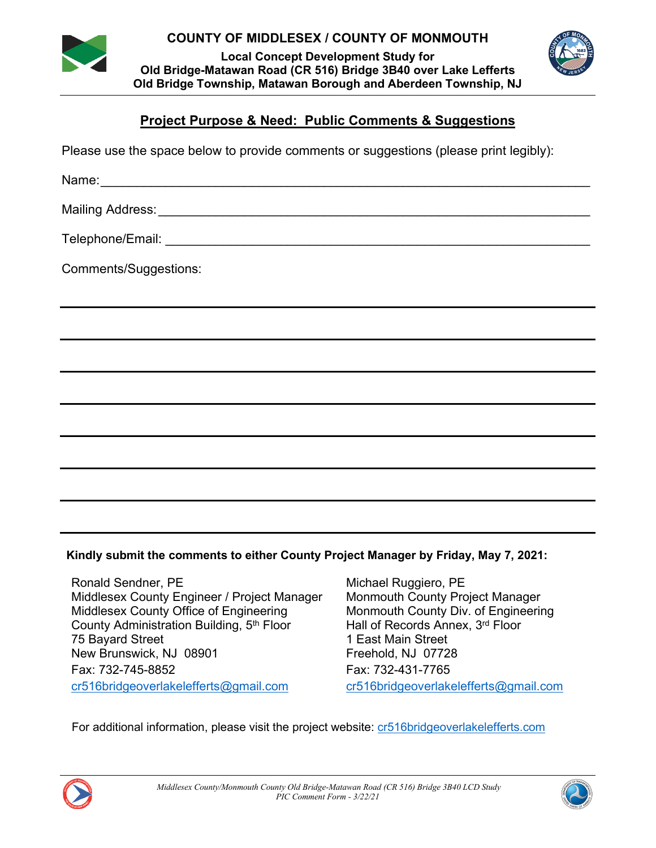

**COUNTY OF MIDDLESEX / COUNTY OF MONMOUTH**

**Local Concept Development Study for Old Bridge-Matawan Road (CR 516) Bridge 3B40 over Lake Lefferts Old Bridge Township, Matawan Borough and Aberdeen Township, NJ**



## **Project Purpose & Need: Public Comments & Suggestions**

Please use the space below to provide comments or suggestions (please print legibly):

Name:

Mailing Address:\_\_\_\_\_\_\_\_\_\_\_\_\_\_\_\_\_\_\_\_\_\_\_\_\_\_\_\_\_\_\_\_\_\_\_\_\_\_\_\_\_\_\_\_\_\_\_\_\_\_\_\_\_\_\_\_\_\_\_\_

Telephone/Email: \_\_\_\_\_\_\_\_\_\_\_\_\_\_\_\_\_\_\_\_\_\_\_\_\_\_\_\_\_\_\_\_\_\_\_\_\_\_\_\_\_\_\_\_\_\_\_\_\_\_\_\_\_\_\_\_\_\_\_

Comments/Suggestions:

### **Kindly submit the comments to either County Project Manager by Friday, May 7, 2021:**

Ronald Sendner, PE Michael Ruggiero, PE Middlesex County Engineer / Project Manager Monmouth County Project Manager Middlesex County Office of Engineering Monmouth County Div. of Engineering County Administration Building,  $5<sup>th</sup>$  Floor Hall of Records Annex.  $3<sup>rd</sup>$  Floor County Administration Building, 5<sup>th</sup> Floor 75 Bayard Street 1 East Main Street New Brunswick, NJ 08901 Freehold, NJ 07728 Fax: 732-745-8852 Fax: 732-431-7765 cr516bridgeoverlakelefferts@gmail.com cr516bridgeoverlakelefferts@gmail.com

For additional information, please visit the project website: cr516bridgeoverlakelefferts.com